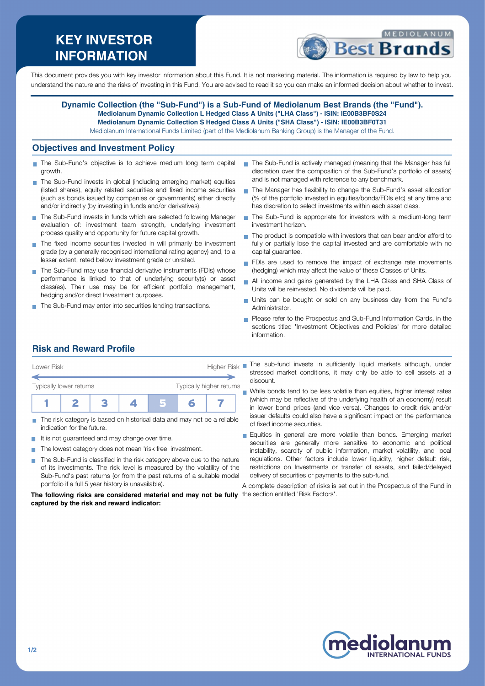# **KEY INVESTOR INFORMATION**



This document provides you with key investor information about this Fund. It is not marketing material. The information is required by law to help you understand the nature and the risks of investing in this Fund. You are advised to read it so you can make an informed decision about whether to invest.

#### **Dynamic Collection (the "Sub-Fund") is a Sub-Fund of Mediolanum Best Brands (the "Fund"). Mediolanum Dynamic Collection L Hedged Class A Units ("LHA Class") - ISIN: IE00B3BF0S24 Mediolanum Dynamic Collection S Hedged Class A Units ("SHA Class") - ISIN: IE00B3BF0T31** Mediolanum International Funds Limited (part of the Mediolanum Banking Group) is the Manager of the Fund.

### **Objectives and Investment Policy**

- The Sub-Fund's objective is to achieve medium long term capital growth.
- The Sub-Fund invests in global (including emerging market) equities (listed shares), equity related securities and fixed income securities (such as bonds issued by companies or governments) either directly and/or indirectly (by investing in funds and/or derivatives).
- The Sub-Fund invests in funds which are selected following Manager evaluation of: investment team strength, underlying investment process quality and opportunity for future capital growth.
- The fixed income securities invested in will primarily be investment grade (by a generally recognised international rating agency) and, to a lesser extent, rated below investment grade or unrated.
- The Sub-Fund may use financial derivative instruments (FDIs) whose performance is linked to that of underlying security(s) or asset class(es). Their use may be for efficient portfolio management, hedging and/or direct Investment purposes.
- The Sub-Fund may enter into securities lending transactions.
- The Sub-Fund is actively managed (meaning that the Manager has full discretion over the composition of the Sub-Fund's portfolio of assets) and is not managed with reference to any benchmark.
- The Manager has flexibility to change the Sub-Fund's asset allocation (% of the portfolio invested in equities/bonds/FDIs etc) at any time and has discretion to select investments within each asset class.
- The Sub-Fund is appropriate for investors with a medium-long term investment horizon.
- $\blacksquare$  The product is compatible with investors that can bear and/or afford to fully or partially lose the capital invested and are comfortable with no capital guarantee.
- FDIs are used to remove the impact of exchange rate movements (hedging) which may affect the value of these Classes of Units.
- All income and gains generated by the LHA Class and SHA Class of  $\blacksquare$ Units will be reinvested. No dividends will be paid.
- Units can be bought or sold on any business day from the Fund's Administrator.
- **Please refer to the Prospectus and Sub-Fund Information Cards, in the** sections titled 'Investment Objectives and Policies' for more detailed information.

# **Risk and Reward Profile**



- The risk category is based on historical data and may not be a reliable indication for the future.
- It is not guaranteed and may change over time.  $\mathcal{L}_{\mathcal{A}}$
- The lowest category does not mean 'risk free' investment.  $\sim$
- The Sub-Fund is classified in the risk category above due to the nature  $\sim$ of its investments. The risk level is measured by the volatility of the Sub-Fund's past returns (or from the past returns of a suitable model portfolio if a full 5 year history is unavailable).

**The following risks are considered material and may not be fully** the section entitled 'Risk Factors'.**captured by the risk and reward indicator:**

stressed market conditions, it may only be able to sell assets at a discount.

While bonds tend to be less volatile than equities, higher interest rates (which may be reflective of the underlying health of an economy) result in lower bond prices (and vice versa). Changes to credit risk and/or issuer defaults could also have a significant impact on the performance of fixed income securities.

Equities in general are more volatile than bonds. Emerging market securities are generally more sensitive to economic and political instability, scarcity of public information, market volatility, and local regulations. Other factors include lower liquidity, higher default risk, restrictions on Investments or transfer of assets, and failed/delayed delivery of securities or payments to the sub-fund.

A complete description of risks is set out in the Prospectus of the Fund in